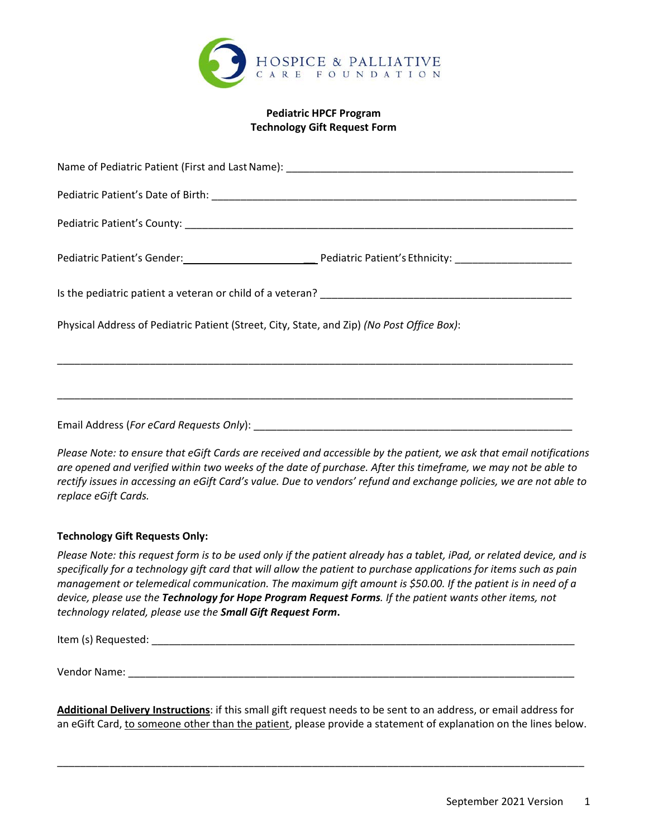

## **Pediatric HPCF Program Technology Gift Request Form**

| Pediatric Patient's Gender: 1980 1991 Pediatric Patient's Ethnicity: 2008 2014 2014        |  |
|--------------------------------------------------------------------------------------------|--|
|                                                                                            |  |
| Physical Address of Pediatric Patient (Street, City, State, and Zip) (No Post Office Box): |  |
|                                                                                            |  |
| Email Address (For eCard Requests Only):                                                   |  |

Please Note: to ensure that eGift Cards are received and accessible by the patient, we ask that email notifications are opened and verified within two weeks of the date of purchase. After this timeframe, we may not be able to rectify issues in accessing an eGift Card's value. Due to vendors' refund and exchange policies, we are not able to *replace eGift Cards.* 

## **Technology Gift Requests Only:**

Please Note: this request form is to be used only if the patient already has a tablet, iPad, or related device, and is specifically for a technology gift card that will allow the patient to purchase applications for items such as pain management or telemedical communication. The maximum gift amount is \$50.00. If the patient is in need of a device, please use the Technology for Hope Program Request Forms. If the patient wants other items, not *technology related, please use the Small Gift Request Form***.** 

Item (s) Requested: \_\_\_\_\_\_\_\_\_\_\_\_\_\_\_\_\_\_\_\_\_\_\_\_\_\_\_\_\_\_\_\_\_\_\_\_\_\_\_\_\_\_\_\_\_\_\_\_\_\_\_\_\_\_\_\_\_\_\_\_\_\_\_\_\_\_\_\_\_\_\_\_\_

Vendor Name: \_\_\_\_\_\_\_\_\_\_\_\_\_\_\_\_\_\_\_\_\_\_\_\_\_\_\_\_\_\_\_\_\_\_\_\_\_\_\_\_\_\_\_\_\_\_\_\_\_\_\_\_\_\_\_\_\_\_\_\_\_\_\_\_\_\_\_\_\_\_\_\_\_\_\_\_\_

**Additional Delivery Instructions**: if this small gift request needs to be sent to an address, or email address for an eGift Card, to someone other than the patient, please provide a statement of explanation on the lines below.

\_\_\_\_\_\_\_\_\_\_\_\_\_\_\_\_\_\_\_\_\_\_\_\_\_\_\_\_\_\_\_\_\_\_\_\_\_\_\_\_\_\_\_\_\_\_\_\_\_\_\_\_\_\_\_\_\_\_\_\_\_\_\_\_\_\_\_\_\_\_\_\_\_\_\_\_\_\_\_\_\_\_\_\_\_\_\_\_\_\_\_